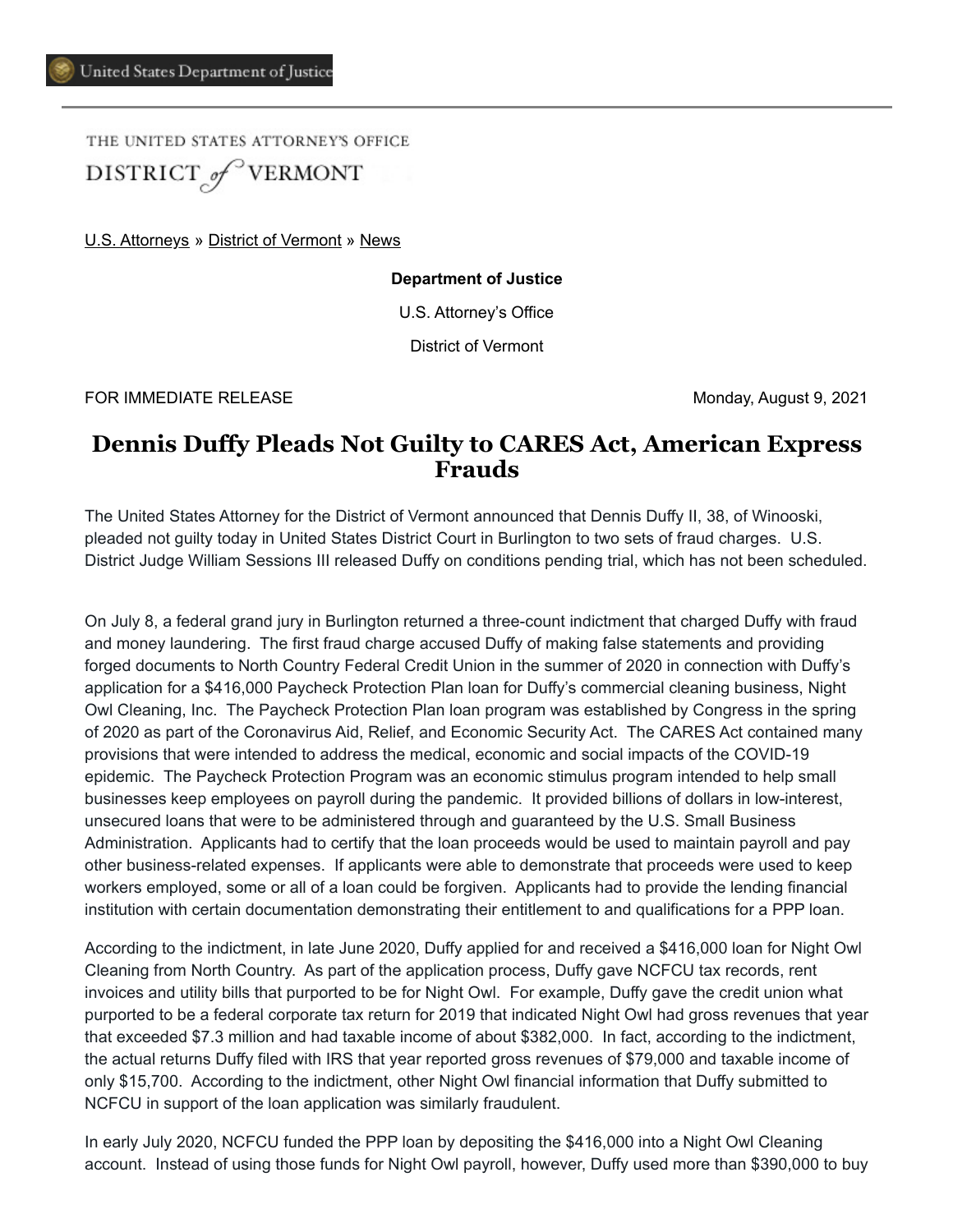THE UNITED STATES ATTORNEY'S OFFICE DISTRICT of VERMONT

[U.S. Attorneys](https://www.justice.gov/usao) » [District of Vermont](https://www.justice.gov/usao-vt) » [News](https://www.justice.gov/usao-vt/pr)

**Department of Justice**

U.S. Attorney's Office

District of Vermont

FOR IMMEDIATE RELEASE Monday, August 9, 2021

## **Dennis Duffy Pleads Not Guilty to CARES Act, American Express Frauds**

The United States Attorney for the District of Vermont announced that Dennis Duffy II, 38, of Winooski, pleaded not guilty today in United States District Court in Burlington to two sets of fraud charges. U.S. District Judge William Sessions III released Duffy on conditions pending trial, which has not been scheduled.

On July 8, a federal grand jury in Burlington returned a three-count indictment that charged Duffy with fraud and money laundering. The first fraud charge accused Duffy of making false statements and providing forged documents to North Country Federal Credit Union in the summer of 2020 in connection with Duffy's application for a \$416,000 Paycheck Protection Plan loan for Duffy's commercial cleaning business, Night Owl Cleaning, Inc. The Paycheck Protection Plan loan program was established by Congress in the spring of 2020 as part of the Coronavirus Aid, Relief, and Economic Security Act. The CARES Act contained many provisions that were intended to address the medical, economic and social impacts of the COVID-19 epidemic. The Paycheck Protection Program was an economic stimulus program intended to help small businesses keep employees on payroll during the pandemic. It provided billions of dollars in low-interest, unsecured loans that were to be administered through and guaranteed by the U.S. Small Business Administration. Applicants had to certify that the loan proceeds would be used to maintain payroll and pay other business-related expenses. If applicants were able to demonstrate that proceeds were used to keep workers employed, some or all of a loan could be forgiven. Applicants had to provide the lending financial institution with certain documentation demonstrating their entitlement to and qualifications for a PPP loan.

According to the indictment, in late June 2020, Duffy applied for and received a \$416,000 loan for Night Owl Cleaning from North Country. As part of the application process, Duffy gave NCFCU tax records, rent invoices and utility bills that purported to be for Night Owl. For example, Duffy gave the credit union what purported to be a federal corporate tax return for 2019 that indicated Night Owl had gross revenues that year that exceeded \$7.3 million and had taxable income of about \$382,000. In fact, according to the indictment, the actual returns Duffy filed with IRS that year reported gross revenues of \$79,000 and taxable income of only \$15,700. According to the indictment, other Night Owl financial information that Duffy submitted to NCFCU in support of the loan application was similarly fraudulent.

In early July 2020, NCFCU funded the PPP loan by depositing the \$416,000 into a Night Owl Cleaning account. Instead of using those funds for Night Owl payroll, however, Duffy used more than \$390,000 to buy